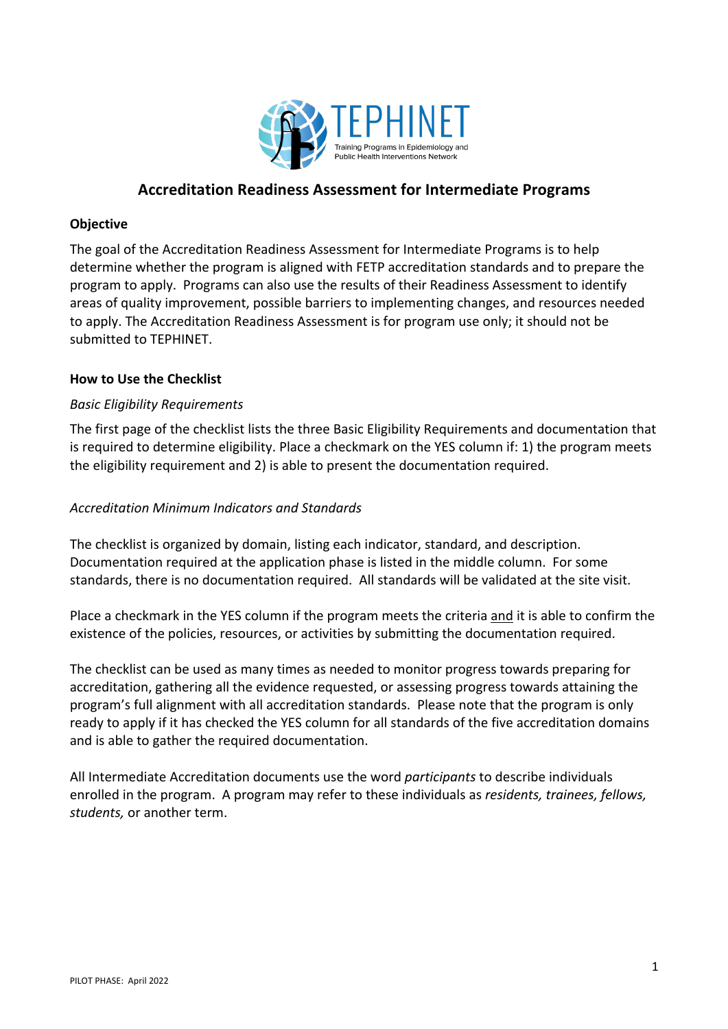

# **Accreditation Readiness Assessment for Intermediate Programs**

## **Objective**

The goal of the Accreditation Readiness Assessment for Intermediate Programs is to help determine whether the program is aligned with FETP accreditation standards and to prepare the program to apply. Programs can also use the results of their Readiness Assessment to identify areas of quality improvement, possible barriers to implementing changes, and resources needed to apply. The Accreditation Readiness Assessment is for program use only; it should not be submitted to TEPHINET.

### **How to Use the Checklist**

## *Basic Eligibility Requirements*

The first page of the checklist lists the three Basic Eligibility Requirements and documentation that is required to determine eligibility. Place a checkmark on the YES column if: 1) the program meets the eligibility requirement and 2) is able to present the documentation required.

## *Accreditation Minimum Indicators and Standards*

The checklist is organized by domain, listing each indicator, standard, and description. Documentation required at the application phase is listed in the middle column. For some standards, there is no documentation required. All standards will be validated at the site visit.

Place a checkmark in the YES column if the program meets the criteria and it is able to confirm the existence of the policies, resources, or activities by submitting the documentation required.

The checklist can be used as many times as needed to monitor progress towards preparing for accreditation, gathering all the evidence requested, or assessing progress towards attaining the program's full alignment with all accreditation standards. Please note that the program is only ready to apply if it has checked the YES column for all standards of the five accreditation domains and is able to gather the required documentation.

All Intermediate Accreditation documents use the word *participants* to describe individuals enrolled in the program. A program may refer to these individuals as *residents, trainees, fellows, students,* or another term.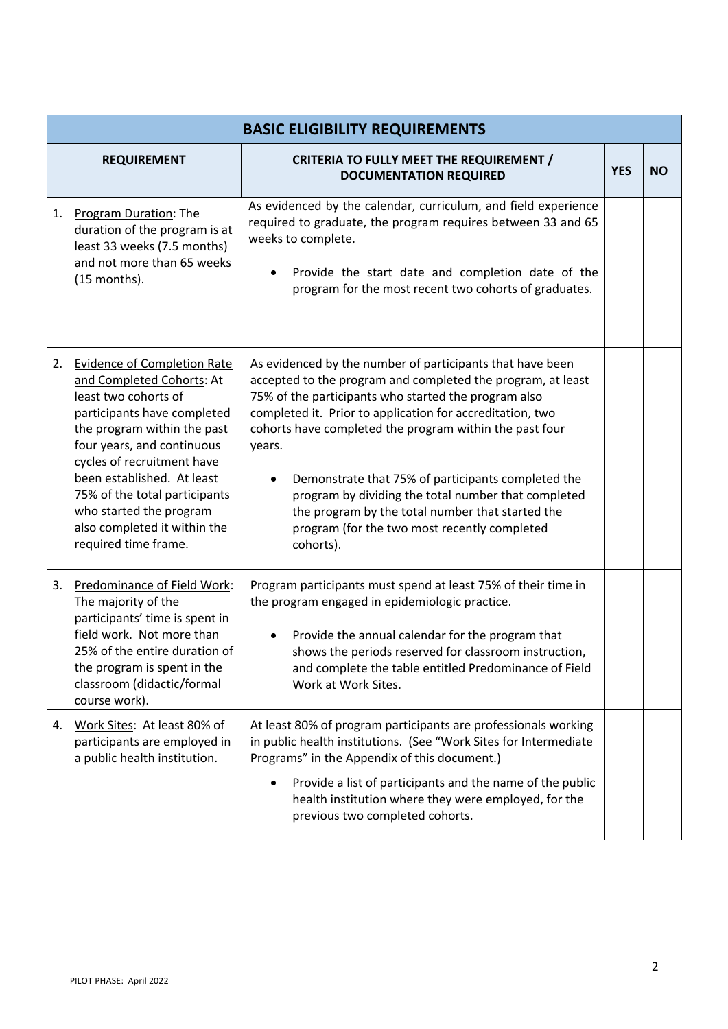|    | <b>BASIC ELIGIBILITY REQUIREMENTS</b>                                                                                                                                                                                                                                                                                                                               |                                                                                                                                                                                                                                                                                                                                                                                                                                                                                                                                                  |            |           |
|----|---------------------------------------------------------------------------------------------------------------------------------------------------------------------------------------------------------------------------------------------------------------------------------------------------------------------------------------------------------------------|--------------------------------------------------------------------------------------------------------------------------------------------------------------------------------------------------------------------------------------------------------------------------------------------------------------------------------------------------------------------------------------------------------------------------------------------------------------------------------------------------------------------------------------------------|------------|-----------|
|    | <b>REQUIREMENT</b>                                                                                                                                                                                                                                                                                                                                                  | <b>CRITERIA TO FULLY MEET THE REQUIREMENT /</b><br><b>DOCUMENTATION REQUIRED</b>                                                                                                                                                                                                                                                                                                                                                                                                                                                                 | <b>YES</b> | <b>NO</b> |
| 1. | Program Duration: The<br>duration of the program is at<br>least 33 weeks (7.5 months)<br>and not more than 65 weeks<br>(15 months).                                                                                                                                                                                                                                 | As evidenced by the calendar, curriculum, and field experience<br>required to graduate, the program requires between 33 and 65<br>weeks to complete.<br>Provide the start date and completion date of the<br>program for the most recent two cohorts of graduates.                                                                                                                                                                                                                                                                               |            |           |
| 2. | <b>Evidence of Completion Rate</b><br>and Completed Cohorts: At<br>least two cohorts of<br>participants have completed<br>the program within the past<br>four years, and continuous<br>cycles of recruitment have<br>been established. At least<br>75% of the total participants<br>who started the program<br>also completed it within the<br>required time frame. | As evidenced by the number of participants that have been<br>accepted to the program and completed the program, at least<br>75% of the participants who started the program also<br>completed it. Prior to application for accreditation, two<br>cohorts have completed the program within the past four<br>years.<br>Demonstrate that 75% of participants completed the<br>program by dividing the total number that completed<br>the program by the total number that started the<br>program (for the two most recently completed<br>cohorts). |            |           |
| 3. | Predominance of Field Work:<br>The majority of the<br>participants' time is spent in<br>field work. Not more than<br>25% of the entire duration of<br>the program is spent in the<br>classroom (didactic/formal<br>course work).                                                                                                                                    | Program participants must spend at least 75% of their time in<br>the program engaged in epidemiologic practice.<br>Provide the annual calendar for the program that<br>shows the periods reserved for classroom instruction,<br>and complete the table entitled Predominance of Field<br>Work at Work Sites.                                                                                                                                                                                                                                     |            |           |
| 4. | Work Sites: At least 80% of<br>participants are employed in<br>a public health institution.                                                                                                                                                                                                                                                                         | At least 80% of program participants are professionals working<br>in public health institutions. (See "Work Sites for Intermediate<br>Programs" in the Appendix of this document.)<br>Provide a list of participants and the name of the public<br>health institution where they were employed, for the<br>previous two completed cohorts.                                                                                                                                                                                                       |            |           |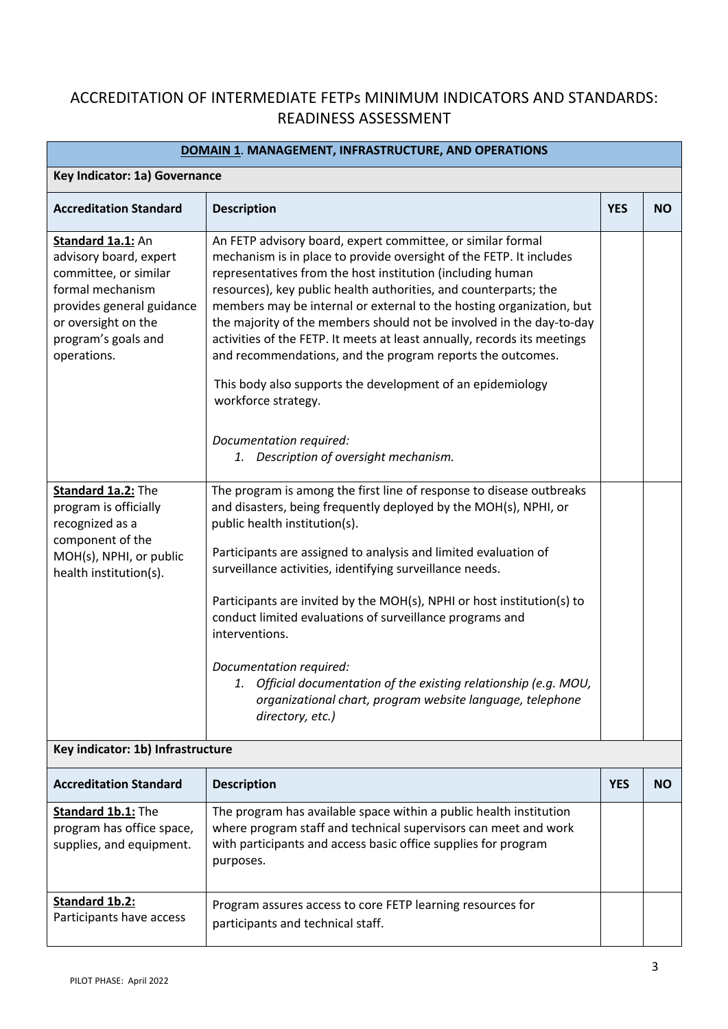# ACCREDITATION OF INTERMEDIATE FETPs MINIMUM INDICATORS AND STANDARDS: READINESS ASSESSMENT

| <b>DOMAIN 1. MANAGEMENT, INFRASTRUCTURE, AND OPERATIONS</b>                                                                                                                        |                                                                                                                                                                                                                                                                                                                                                                                                                                                                                                                                                                                                                                                                                                                          |            |           |
|------------------------------------------------------------------------------------------------------------------------------------------------------------------------------------|--------------------------------------------------------------------------------------------------------------------------------------------------------------------------------------------------------------------------------------------------------------------------------------------------------------------------------------------------------------------------------------------------------------------------------------------------------------------------------------------------------------------------------------------------------------------------------------------------------------------------------------------------------------------------------------------------------------------------|------------|-----------|
| Key Indicator: 1a) Governance                                                                                                                                                      |                                                                                                                                                                                                                                                                                                                                                                                                                                                                                                                                                                                                                                                                                                                          |            |           |
| <b>Accreditation Standard</b>                                                                                                                                                      | <b>Description</b>                                                                                                                                                                                                                                                                                                                                                                                                                                                                                                                                                                                                                                                                                                       | <b>YES</b> | <b>NO</b> |
| Standard 1a.1: An<br>advisory board, expert<br>committee, or similar<br>formal mechanism<br>provides general guidance<br>or oversight on the<br>program's goals and<br>operations. | An FETP advisory board, expert committee, or similar formal<br>mechanism is in place to provide oversight of the FETP. It includes<br>representatives from the host institution (including human<br>resources), key public health authorities, and counterparts; the<br>members may be internal or external to the hosting organization, but<br>the majority of the members should not be involved in the day-to-day<br>activities of the FETP. It meets at least annually, records its meetings<br>and recommendations, and the program reports the outcomes.<br>This body also supports the development of an epidemiology<br>workforce strategy.<br>Documentation required:<br>1. Description of oversight mechanism. |            |           |
|                                                                                                                                                                                    |                                                                                                                                                                                                                                                                                                                                                                                                                                                                                                                                                                                                                                                                                                                          |            |           |
| Standard 1a.2: The<br>program is officially<br>recognized as a<br>component of the<br>MOH(s), NPHI, or public<br>health institution(s).                                            | The program is among the first line of response to disease outbreaks<br>and disasters, being frequently deployed by the MOH(s), NPHI, or<br>public health institution(s).<br>Participants are assigned to analysis and limited evaluation of<br>surveillance activities, identifying surveillance needs.<br>Participants are invited by the MOH(s), NPHI or host institution(s) to<br>conduct limited evaluations of surveillance programs and<br>interventions.<br>Documentation required:<br>1. Official documentation of the existing relationship (e.g. MOU,<br>organizational chart, program website language, telephone<br>directory, etc.)                                                                        |            |           |
| Key indicator: 1b) Infrastructure                                                                                                                                                  |                                                                                                                                                                                                                                                                                                                                                                                                                                                                                                                                                                                                                                                                                                                          |            |           |
| <b>Accreditation Standard</b>                                                                                                                                                      | <b>Description</b>                                                                                                                                                                                                                                                                                                                                                                                                                                                                                                                                                                                                                                                                                                       | <b>YES</b> | <b>NO</b> |
| Standard 1b.1: The<br>program has office space,<br>supplies, and equipment.                                                                                                        | The program has available space within a public health institution<br>where program staff and technical supervisors can meet and work<br>with participants and access basic office supplies for program<br>purposes.                                                                                                                                                                                                                                                                                                                                                                                                                                                                                                     |            |           |
| Standard 1b.2:<br>Participants have access                                                                                                                                         | Program assures access to core FETP learning resources for<br>participants and technical staff.                                                                                                                                                                                                                                                                                                                                                                                                                                                                                                                                                                                                                          |            |           |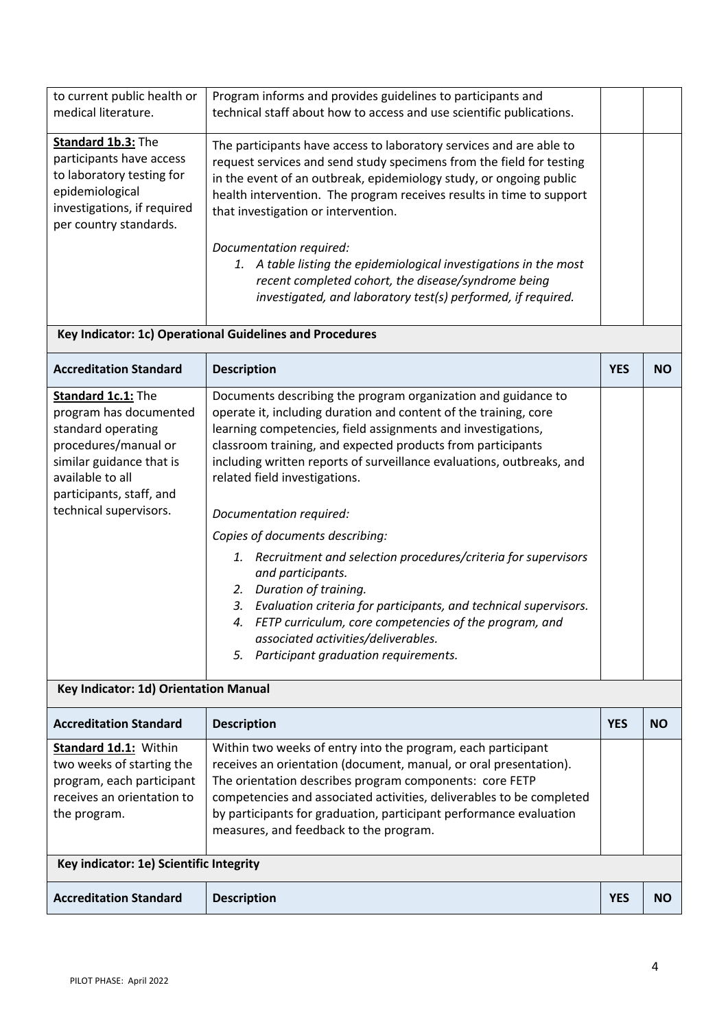| <b>Accreditation Standard</b>                                                                                                                                                                    | <b>Description</b>                                                                                                                                                                                                                                                                                                                                                                                                                                                                                                                                                                                                                                                                                                                                                                     | <b>YES</b> | <b>NO</b> |
|--------------------------------------------------------------------------------------------------------------------------------------------------------------------------------------------------|----------------------------------------------------------------------------------------------------------------------------------------------------------------------------------------------------------------------------------------------------------------------------------------------------------------------------------------------------------------------------------------------------------------------------------------------------------------------------------------------------------------------------------------------------------------------------------------------------------------------------------------------------------------------------------------------------------------------------------------------------------------------------------------|------------|-----------|
| Key indicator: 1e) Scientific Integrity                                                                                                                                                          |                                                                                                                                                                                                                                                                                                                                                                                                                                                                                                                                                                                                                                                                                                                                                                                        |            |           |
| Standard 1d.1: Within<br>two weeks of starting the<br>program, each participant<br>receives an orientation to<br>the program.                                                                    | Within two weeks of entry into the program, each participant<br>receives an orientation (document, manual, or oral presentation).<br>The orientation describes program components: core FETP<br>competencies and associated activities, deliverables to be completed<br>by participants for graduation, participant performance evaluation<br>measures, and feedback to the program.                                                                                                                                                                                                                                                                                                                                                                                                   |            |           |
| <b>Accreditation Standard</b>                                                                                                                                                                    | <b>Description</b>                                                                                                                                                                                                                                                                                                                                                                                                                                                                                                                                                                                                                                                                                                                                                                     | <b>YES</b> | <b>NO</b> |
| Key Indicator: 1d) Orientation Manual                                                                                                                                                            |                                                                                                                                                                                                                                                                                                                                                                                                                                                                                                                                                                                                                                                                                                                                                                                        |            |           |
| Standard 1c.1: The<br>program has documented<br>standard operating<br>procedures/manual or<br>similar guidance that is<br>available to all<br>participants, staff, and<br>technical supervisors. | Documents describing the program organization and guidance to<br>operate it, including duration and content of the training, core<br>learning competencies, field assignments and investigations,<br>classroom training, and expected products from participants<br>including written reports of surveillance evaluations, outbreaks, and<br>related field investigations.<br>Documentation required:<br>Copies of documents describing:<br>1. Recruitment and selection procedures/criteria for supervisors<br>and participants.<br>2. Duration of training.<br>3. Evaluation criteria for participants, and technical supervisors.<br>4. FETP curriculum, core competencies of the program, and<br>associated activities/deliverables.<br>Participant graduation requirements.<br>5. |            |           |
| <b>Accreditation Standard</b>                                                                                                                                                                    | <b>Description</b>                                                                                                                                                                                                                                                                                                                                                                                                                                                                                                                                                                                                                                                                                                                                                                     | <b>YES</b> | <b>NO</b> |
|                                                                                                                                                                                                  | Key Indicator: 1c) Operational Guidelines and Procedures                                                                                                                                                                                                                                                                                                                                                                                                                                                                                                                                                                                                                                                                                                                               |            |           |
|                                                                                                                                                                                                  | Documentation required:<br>1. A table listing the epidemiological investigations in the most<br>recent completed cohort, the disease/syndrome being<br>investigated, and laboratory test(s) performed, if required.                                                                                                                                                                                                                                                                                                                                                                                                                                                                                                                                                                    |            |           |
| Standard 1b.3: The<br>participants have access<br>to laboratory testing for<br>epidemiological<br>investigations, if required<br>per country standards.                                          | The participants have access to laboratory services and are able to<br>request services and send study specimens from the field for testing<br>in the event of an outbreak, epidemiology study, or ongoing public<br>health intervention. The program receives results in time to support<br>that investigation or intervention.                                                                                                                                                                                                                                                                                                                                                                                                                                                       |            |           |
| to current public health or<br>medical literature.                                                                                                                                               | Program informs and provides guidelines to participants and<br>technical staff about how to access and use scientific publications.                                                                                                                                                                                                                                                                                                                                                                                                                                                                                                                                                                                                                                                    |            |           |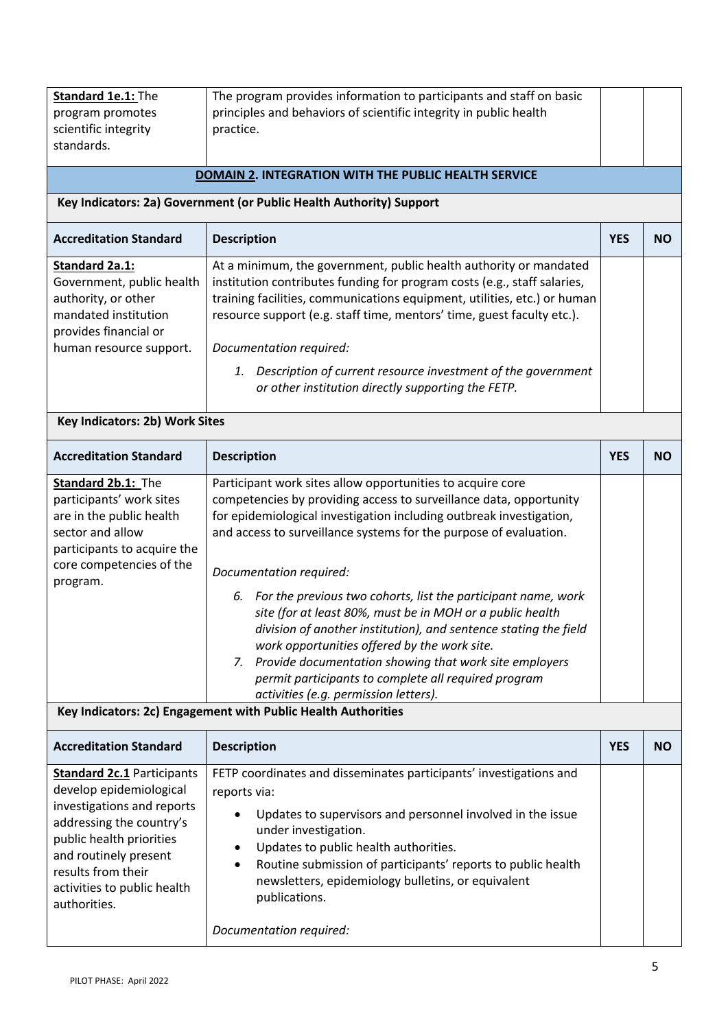| Standard 1e.1: The<br>program promotes<br>scientific integrity<br>standards.                                                                                                                                                                     | The program provides information to participants and staff on basic<br>principles and behaviors of scientific integrity in public health<br>practice.                                                                                                                                                                                                                                                                                                                                                                                                                                                                                                                                                                      |            |           |
|--------------------------------------------------------------------------------------------------------------------------------------------------------------------------------------------------------------------------------------------------|----------------------------------------------------------------------------------------------------------------------------------------------------------------------------------------------------------------------------------------------------------------------------------------------------------------------------------------------------------------------------------------------------------------------------------------------------------------------------------------------------------------------------------------------------------------------------------------------------------------------------------------------------------------------------------------------------------------------------|------------|-----------|
|                                                                                                                                                                                                                                                  | <b>DOMAIN 2. INTEGRATION WITH THE PUBLIC HEALTH SERVICE</b>                                                                                                                                                                                                                                                                                                                                                                                                                                                                                                                                                                                                                                                                |            |           |
|                                                                                                                                                                                                                                                  | Key Indicators: 2a) Government (or Public Health Authority) Support                                                                                                                                                                                                                                                                                                                                                                                                                                                                                                                                                                                                                                                        |            |           |
| <b>Accreditation Standard</b>                                                                                                                                                                                                                    | <b>Description</b>                                                                                                                                                                                                                                                                                                                                                                                                                                                                                                                                                                                                                                                                                                         | <b>YES</b> | <b>NO</b> |
| Standard 2a.1:<br>Government, public health<br>authority, or other<br>mandated institution<br>provides financial or<br>human resource support.                                                                                                   | At a minimum, the government, public health authority or mandated<br>institution contributes funding for program costs (e.g., staff salaries,<br>training facilities, communications equipment, utilities, etc.) or human<br>resource support (e.g. staff time, mentors' time, guest faculty etc.).<br>Documentation required:<br>Description of current resource investment of the government<br>1.<br>or other institution directly supporting the FETP.                                                                                                                                                                                                                                                                 |            |           |
| Key Indicators: 2b) Work Sites                                                                                                                                                                                                                   |                                                                                                                                                                                                                                                                                                                                                                                                                                                                                                                                                                                                                                                                                                                            |            |           |
| <b>Accreditation Standard</b>                                                                                                                                                                                                                    | <b>Description</b>                                                                                                                                                                                                                                                                                                                                                                                                                                                                                                                                                                                                                                                                                                         | <b>YES</b> | <b>NO</b> |
| Standard 2b.1: The<br>participants' work sites<br>are in the public health<br>sector and allow<br>participants to acquire the<br>core competencies of the<br>program.                                                                            | Participant work sites allow opportunities to acquire core<br>competencies by providing access to surveillance data, opportunity<br>for epidemiological investigation including outbreak investigation,<br>and access to surveillance systems for the purpose of evaluation.<br>Documentation required:<br>6. For the previous two cohorts, list the participant name, work<br>site (for at least 80%, must be in MOH or a public health<br>division of another institution), and sentence stating the field<br>work opportunities offered by the work site.<br>7. Provide documentation showing that work site employers<br>permit participants to complete all required program<br>activities (e.g. permission letters). |            |           |
|                                                                                                                                                                                                                                                  | Key Indicators: 2c) Engagement with Public Health Authorities                                                                                                                                                                                                                                                                                                                                                                                                                                                                                                                                                                                                                                                              |            |           |
| <b>Accreditation Standard</b>                                                                                                                                                                                                                    | <b>Description</b>                                                                                                                                                                                                                                                                                                                                                                                                                                                                                                                                                                                                                                                                                                         | <b>YES</b> | <b>NO</b> |
| <b>Standard 2c.1 Participants</b><br>develop epidemiological<br>investigations and reports<br>addressing the country's<br>public health priorities<br>and routinely present<br>results from their<br>activities to public health<br>authorities. | FETP coordinates and disseminates participants' investigations and<br>reports via:<br>Updates to supervisors and personnel involved in the issue<br>$\bullet$<br>under investigation.<br>Updates to public health authorities.<br>٠<br>Routine submission of participants' reports to public health<br>$\bullet$<br>newsletters, epidemiology bulletins, or equivalent<br>publications.<br>Documentation required:                                                                                                                                                                                                                                                                                                         |            |           |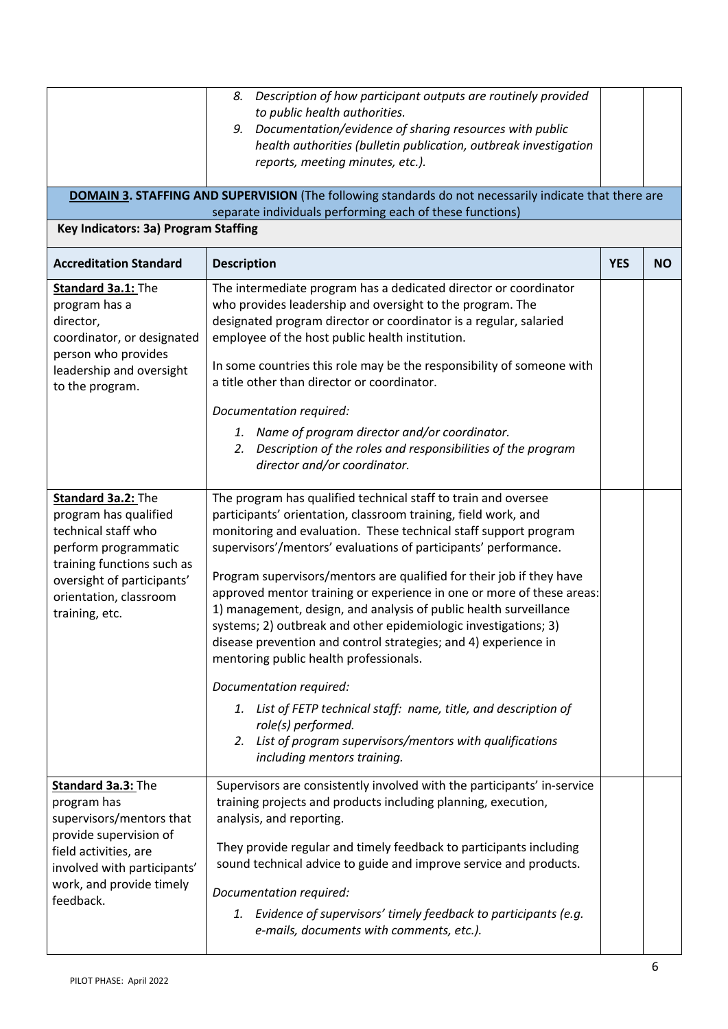|                                                                                                                                                                                                    | Description of how participant outputs are routinely provided<br>8.<br>to public health authorities.<br>9. Documentation/evidence of sharing resources with public<br>health authorities (bulletin publication, outbreak investigation<br>reports, meeting minutes, etc.).                                                                                                                                                                                                                                                                                                                                                                                                                                                                                                                                                                                                                      |            |           |
|----------------------------------------------------------------------------------------------------------------------------------------------------------------------------------------------------|-------------------------------------------------------------------------------------------------------------------------------------------------------------------------------------------------------------------------------------------------------------------------------------------------------------------------------------------------------------------------------------------------------------------------------------------------------------------------------------------------------------------------------------------------------------------------------------------------------------------------------------------------------------------------------------------------------------------------------------------------------------------------------------------------------------------------------------------------------------------------------------------------|------------|-----------|
|                                                                                                                                                                                                    | <b>DOMAIN 3. STAFFING AND SUPERVISION</b> (The following standards do not necessarily indicate that there are<br>separate individuals performing each of these functions)                                                                                                                                                                                                                                                                                                                                                                                                                                                                                                                                                                                                                                                                                                                       |            |           |
| Key Indicators: 3a) Program Staffing                                                                                                                                                               |                                                                                                                                                                                                                                                                                                                                                                                                                                                                                                                                                                                                                                                                                                                                                                                                                                                                                                 |            |           |
| <b>Accreditation Standard</b>                                                                                                                                                                      | <b>Description</b>                                                                                                                                                                                                                                                                                                                                                                                                                                                                                                                                                                                                                                                                                                                                                                                                                                                                              | <b>YES</b> | <b>NO</b> |
| Standard 3a.1: The<br>program has a<br>director,<br>coordinator, or designated<br>person who provides<br>leadership and oversight<br>to the program.                                               | The intermediate program has a dedicated director or coordinator<br>who provides leadership and oversight to the program. The<br>designated program director or coordinator is a regular, salaried<br>employee of the host public health institution.<br>In some countries this role may be the responsibility of someone with<br>a title other than director or coordinator.<br>Documentation required:<br>1. Name of program director and/or coordinator.                                                                                                                                                                                                                                                                                                                                                                                                                                     |            |           |
|                                                                                                                                                                                                    | Description of the roles and responsibilities of the program<br>2.<br>director and/or coordinator.                                                                                                                                                                                                                                                                                                                                                                                                                                                                                                                                                                                                                                                                                                                                                                                              |            |           |
| Standard 3a.2: The<br>program has qualified<br>technical staff who<br>perform programmatic<br>training functions such as<br>oversight of participants'<br>orientation, classroom<br>training, etc. | The program has qualified technical staff to train and oversee<br>participants' orientation, classroom training, field work, and<br>monitoring and evaluation. These technical staff support program<br>supervisors'/mentors' evaluations of participants' performance.<br>Program supervisors/mentors are qualified for their job if they have<br>approved mentor training or experience in one or more of these areas:<br>1) management, design, and analysis of public health surveillance<br>systems; 2) outbreak and other epidemiologic investigations; 3)<br>disease prevention and control strategies; and 4) experience in<br>mentoring public health professionals.<br>Documentation required:<br>1. List of FETP technical staff: name, title, and description of<br>role(s) performed.<br>2. List of program supervisors/mentors with qualifications<br>including mentors training. |            |           |
| Standard 3a.3: The<br>program has<br>supervisors/mentors that<br>provide supervision of<br>field activities, are<br>involved with participants'<br>work, and provide timely<br>feedback.           | Supervisors are consistently involved with the participants' in-service<br>training projects and products including planning, execution,<br>analysis, and reporting.<br>They provide regular and timely feedback to participants including<br>sound technical advice to guide and improve service and products.<br>Documentation required:<br>1. Evidence of supervisors' timely feedback to participants (e.g.<br>e-mails, documents with comments, etc.).                                                                                                                                                                                                                                                                                                                                                                                                                                     |            |           |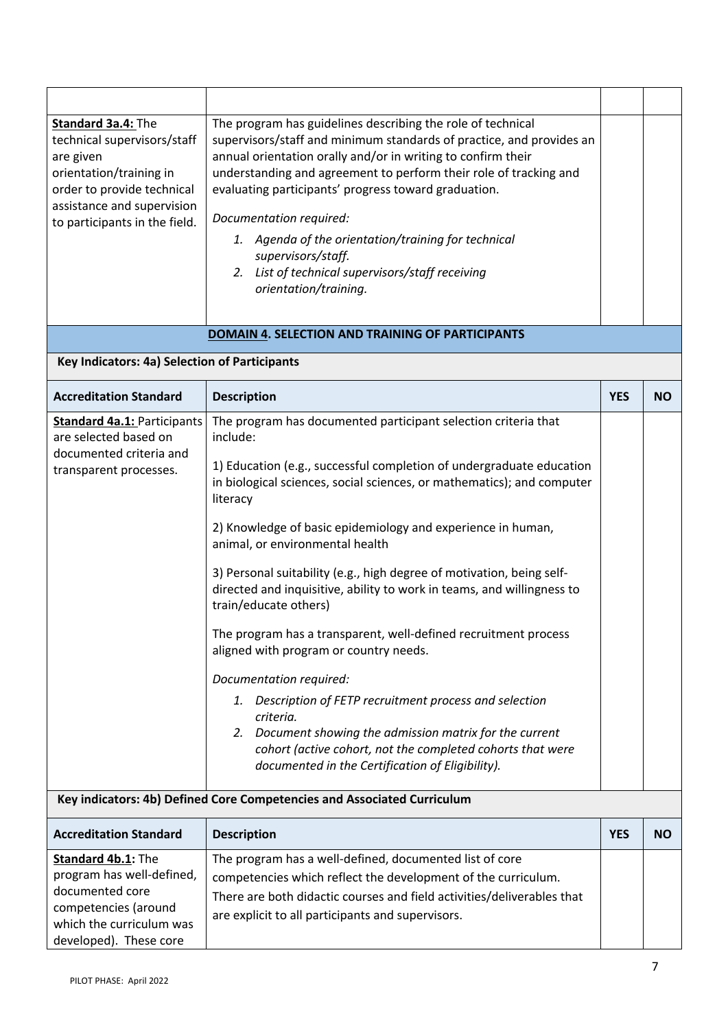| Standard 3a.4: The<br>technical supervisors/staff<br>are given<br>orientation/training in<br>order to provide technical<br>assistance and supervision<br>to participants in the field. | The program has guidelines describing the role of technical<br>supervisors/staff and minimum standards of practice, and provides an<br>annual orientation orally and/or in writing to confirm their<br>understanding and agreement to perform their role of tracking and<br>evaluating participants' progress toward graduation.<br>Documentation required:<br>1. Agenda of the orientation/training for technical<br>supervisors/staff.<br>2. List of technical supervisors/staff receiving<br>orientation/training.                                                                                                                                                                                                                                                                                                                                                                                                    |            |           |
|----------------------------------------------------------------------------------------------------------------------------------------------------------------------------------------|--------------------------------------------------------------------------------------------------------------------------------------------------------------------------------------------------------------------------------------------------------------------------------------------------------------------------------------------------------------------------------------------------------------------------------------------------------------------------------------------------------------------------------------------------------------------------------------------------------------------------------------------------------------------------------------------------------------------------------------------------------------------------------------------------------------------------------------------------------------------------------------------------------------------------|------------|-----------|
|                                                                                                                                                                                        | DOMAIN 4. SELECTION AND TRAINING OF PARTICIPANTS                                                                                                                                                                                                                                                                                                                                                                                                                                                                                                                                                                                                                                                                                                                                                                                                                                                                         |            |           |
| Key Indicators: 4a) Selection of Participants                                                                                                                                          |                                                                                                                                                                                                                                                                                                                                                                                                                                                                                                                                                                                                                                                                                                                                                                                                                                                                                                                          |            |           |
| <b>Accreditation Standard</b>                                                                                                                                                          | <b>Description</b>                                                                                                                                                                                                                                                                                                                                                                                                                                                                                                                                                                                                                                                                                                                                                                                                                                                                                                       | <b>YES</b> | <b>NO</b> |
| <b>Standard 4a.1: Participants</b><br>are selected based on<br>documented criteria and<br>transparent processes.                                                                       | The program has documented participant selection criteria that<br>include:<br>1) Education (e.g., successful completion of undergraduate education<br>in biological sciences, social sciences, or mathematics); and computer<br>literacy<br>2) Knowledge of basic epidemiology and experience in human,<br>animal, or environmental health<br>3) Personal suitability (e.g., high degree of motivation, being self-<br>directed and inquisitive, ability to work in teams, and willingness to<br>train/educate others)<br>The program has a transparent, well-defined recruitment process<br>aligned with program or country needs.<br>Documentation required:<br>Description of FETP recruitment process and selection<br>1.<br>criteria.<br>2. Document showing the admission matrix for the current<br>cohort (active cohort, not the completed cohorts that were<br>documented in the Certification of Eligibility). |            |           |
| Key indicators: 4b) Defined Core Competencies and Associated Curriculum                                                                                                                |                                                                                                                                                                                                                                                                                                                                                                                                                                                                                                                                                                                                                                                                                                                                                                                                                                                                                                                          |            |           |
| <b>Accreditation Standard</b>                                                                                                                                                          | <b>Description</b>                                                                                                                                                                                                                                                                                                                                                                                                                                                                                                                                                                                                                                                                                                                                                                                                                                                                                                       | <b>YES</b> | <b>NO</b> |
| Standard 4b.1: The<br>program has well-defined,<br>documented core<br>competencies (around<br>which the curriculum was<br>developed). These core                                       | The program has a well-defined, documented list of core<br>competencies which reflect the development of the curriculum.<br>There are both didactic courses and field activities/deliverables that<br>are explicit to all participants and supervisors.                                                                                                                                                                                                                                                                                                                                                                                                                                                                                                                                                                                                                                                                  |            |           |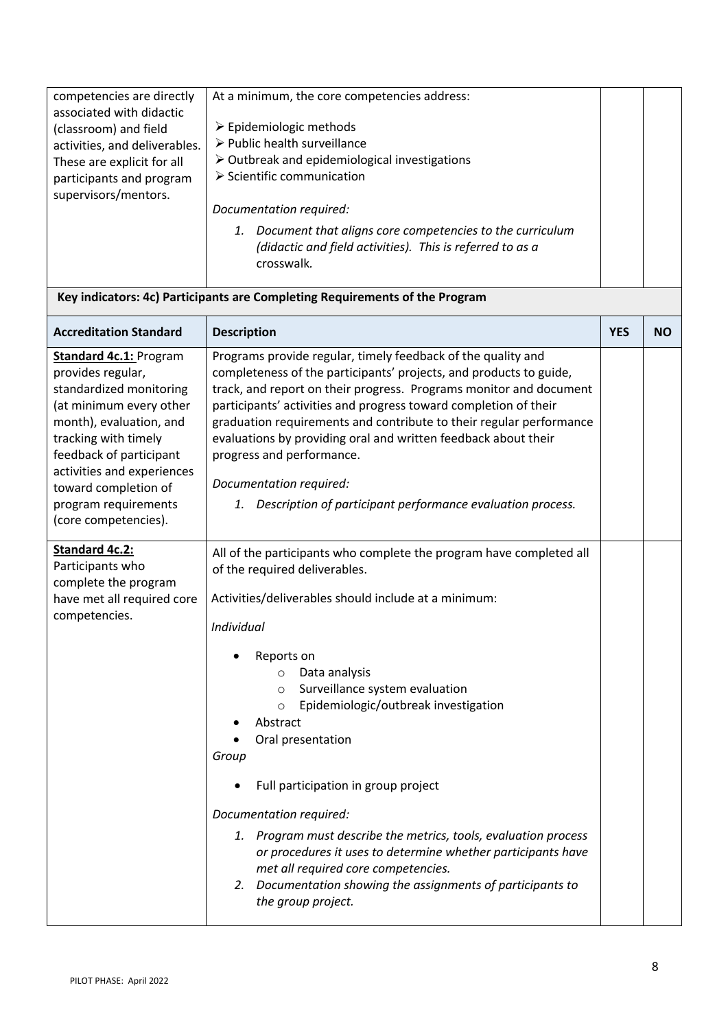| competencies are directly<br>associated with didactic<br>(classroom) and field<br>activities, and deliverables.<br>These are explicit for all<br>participants and program<br>supervisors/mentors.                                                                                            | At a minimum, the core competencies address:<br>$\triangleright$ Epidemiologic methods<br>▶ Public health surveillance<br>$\triangleright$ Outbreak and epidemiological investigations<br>$\triangleright$ Scientific communication<br>Documentation required:<br>1. Document that aligns core competencies to the curriculum<br>(didactic and field activities). This is referred to as a<br>crosswalk.                                                                                                                                                                                                                                                                                        |            |           |
|----------------------------------------------------------------------------------------------------------------------------------------------------------------------------------------------------------------------------------------------------------------------------------------------|-------------------------------------------------------------------------------------------------------------------------------------------------------------------------------------------------------------------------------------------------------------------------------------------------------------------------------------------------------------------------------------------------------------------------------------------------------------------------------------------------------------------------------------------------------------------------------------------------------------------------------------------------------------------------------------------------|------------|-----------|
|                                                                                                                                                                                                                                                                                              | Key indicators: 4c) Participants are Completing Requirements of the Program                                                                                                                                                                                                                                                                                                                                                                                                                                                                                                                                                                                                                     |            |           |
| <b>Accreditation Standard</b>                                                                                                                                                                                                                                                                | <b>Description</b>                                                                                                                                                                                                                                                                                                                                                                                                                                                                                                                                                                                                                                                                              | <b>YES</b> | <b>NO</b> |
| <b>Standard 4c.1: Program</b><br>provides regular,<br>standardized monitoring<br>(at minimum every other<br>month), evaluation, and<br>tracking with timely<br>feedback of participant<br>activities and experiences<br>toward completion of<br>program requirements<br>(core competencies). | Programs provide regular, timely feedback of the quality and<br>completeness of the participants' projects, and products to guide,<br>track, and report on their progress. Programs monitor and document<br>participants' activities and progress toward completion of their<br>graduation requirements and contribute to their regular performance<br>evaluations by providing oral and written feedback about their<br>progress and performance.<br>Documentation required:<br>Description of participant performance evaluation process.<br>1.                                                                                                                                               |            |           |
| <b>Standard 4c.2:</b><br>Participants who<br>complete the program<br>have met all required core<br>competencies.                                                                                                                                                                             | All of the participants who complete the program have completed all<br>of the required deliverables.<br>Activities/deliverables should include at a minimum:<br>Individual<br>Reports on<br>Data analysis<br>$\circ$<br>Surveillance system evaluation<br>$\circ$<br>Epidemiologic/outbreak investigation<br>$\circ$<br>Abstract<br>Oral presentation<br>Group<br>Full participation in group project<br>Documentation required:<br>1. Program must describe the metrics, tools, evaluation process<br>or procedures it uses to determine whether participants have<br>met all required core competencies.<br>2. Documentation showing the assignments of participants to<br>the group project. |            |           |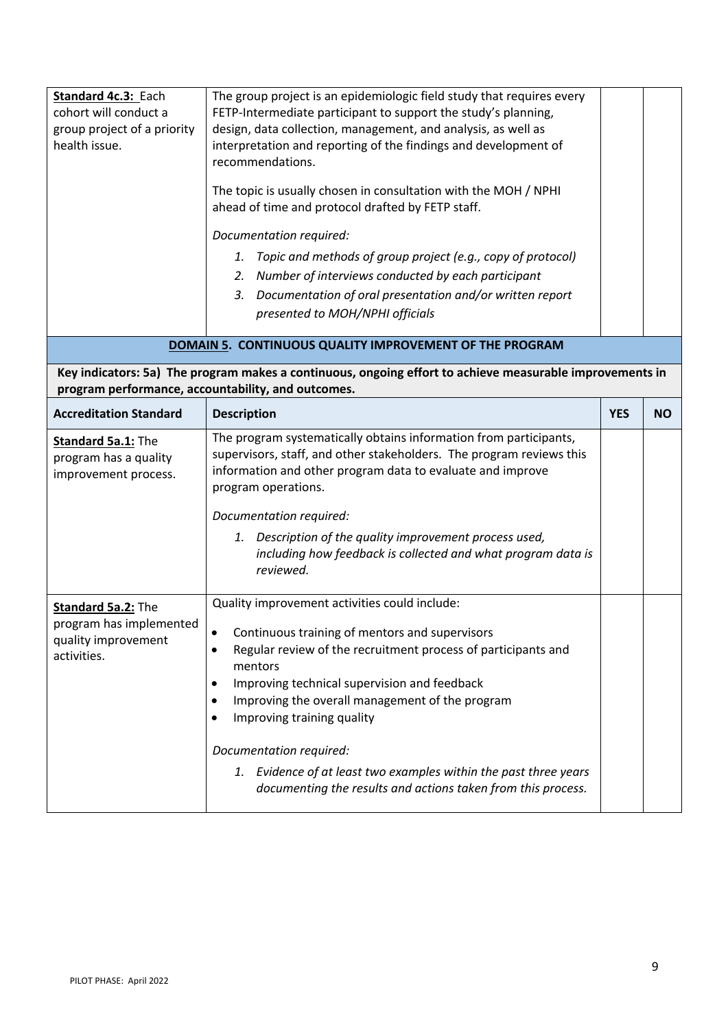| Standard 4c.3: Each<br>cohort will conduct a<br>group project of a priority<br>health issue.             | The group project is an epidemiologic field study that requires every<br>FETP-Intermediate participant to support the study's planning,<br>design, data collection, management, and analysis, as well as<br>interpretation and reporting of the findings and development of<br>recommendations.<br>The topic is usually chosen in consultation with the MOH / NPHI<br>ahead of time and protocol drafted by FETP staff.<br>Documentation required:<br>Topic and methods of group project (e.g., copy of protocol)<br>1.<br>Number of interviews conducted by each participant<br>2.<br>Documentation of oral presentation and/or written report<br>3.<br>presented to MOH/NPHI officials<br>DOMAIN 5. CONTINUOUS QUALITY IMPROVEMENT OF THE PROGRAM |            |           |
|----------------------------------------------------------------------------------------------------------|-----------------------------------------------------------------------------------------------------------------------------------------------------------------------------------------------------------------------------------------------------------------------------------------------------------------------------------------------------------------------------------------------------------------------------------------------------------------------------------------------------------------------------------------------------------------------------------------------------------------------------------------------------------------------------------------------------------------------------------------------------|------------|-----------|
| Key indicators: 5a) The program makes a continuous, ongoing effort to achieve measurable improvements in |                                                                                                                                                                                                                                                                                                                                                                                                                                                                                                                                                                                                                                                                                                                                                     |            |           |
|                                                                                                          | program performance, accountability, and outcomes.                                                                                                                                                                                                                                                                                                                                                                                                                                                                                                                                                                                                                                                                                                  |            |           |
| <b>Accreditation Standard</b>                                                                            | <b>Description</b>                                                                                                                                                                                                                                                                                                                                                                                                                                                                                                                                                                                                                                                                                                                                  | <b>YES</b> | <b>NO</b> |
| Standard 5a.1: The<br>program has a quality<br>improvement process.                                      | The program systematically obtains information from participants,<br>supervisors, staff, and other stakeholders. The program reviews this<br>information and other program data to evaluate and improve<br>program operations.<br>Documentation required:<br>1. Description of the quality improvement process used,<br>including how feedback is collected and what program data is<br>reviewed.                                                                                                                                                                                                                                                                                                                                                   |            |           |
| Standard 5a.2: The<br>program has implemented<br>quality improvement<br>activities.                      | Quality improvement activities could include:<br>Continuous training of mentors and supervisors<br>Regular review of the recruitment process of participants and<br>mentors<br>Improving technical supervision and feedback<br>٠<br>Improving the overall management of the program<br>٠<br>Improving training quality<br>Documentation required:<br>1. Evidence of at least two examples within the past three years<br>documenting the results and actions taken from this process.                                                                                                                                                                                                                                                               |            |           |